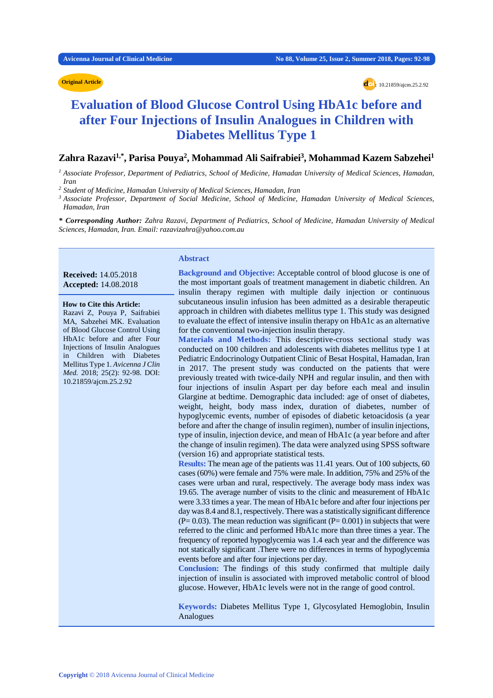#### **Original Article**

**Criginal Article doi**: 10.21859/ajcm.25.2.92

# **Evaluation of Blood Glucose Control Using HbA1c before and after Four Injections of Insulin Analogues in Children with Diabetes Mellitus Type 1**

# **Zahra Razavi1,\*, Parisa Pouya2 , Mohammad Ali Saifrabiei3 , Mohammad Kazem Sabzehei1**

*<sup>1</sup> Associate Professor, Department of Pediatrics, School of Medicine, Hamadan University of Medical Sciences, Hamadan, Iran*

*<sup>2</sup> Student of Medicine, Hamadan University of Medical Sciences, Hamadan, Iran* 

*<sup>3</sup> Associate Professor, Department of Social Medicine, School of Medicine, Hamadan University of Medical Sciences, Hamadan, Iran*

*\* Corresponding Author: Zahra Razavi, Department of Pediatrics, School of Medicine, Hamadan University of Medical Sciences, Hamadan, Iran. Email[: razavizahra@yahoo.com.au](mailto:razavizahra@yahoo.com.au)*

#### **Received:** 14.05.2018 **Accepted:** 14.08.2018

**How to Cite this Article:** Razavi Z, Pouya P, Saifrabiei MA, Sabzehei MK. Evaluation of Blood Glucose Control Using HbA1c before and after Four Injections of Insulin Analogues in Children with Diabetes Mellitus Type 1. *Avicenna J Clin Med.* 2018; 25(2): 92-98. DOI: 10.21859/ajcm.25.2.92

### **Abstract**

**Background and Objective:** Acceptable control of blood glucose is one of the most important goals of treatment management in diabetic children. An insulin therapy regimen with multiple daily injection or continuous subcutaneous insulin infusion has been admitted as a desirable therapeutic approach in children with diabetes mellitus type 1. This study was designed to evaluate the effect of intensive insulin therapy on HbA1c as an alternative for the conventional two-injection insulin therapy.

**Materials and Methods:** This descriptive-cross sectional study was conducted on 100 children and adolescents with diabetes mellitus type 1 at Pediatric Endocrinology Outpatient Clinic of Besat Hospital, Hamadan, Iran in 2017. The present study was conducted on the patients that were previously treated with twice-daily NPH and regular insulin, and then with four injections of insulin Aspart per day before each meal and insulin Glargine at bedtime. Demographic data included: age of onset of diabetes, weight, height, body mass index, duration of diabetes, number of hypoglycemic events, number of episodes of diabetic ketoacidosis (a year before and after the change of insulin regimen), number of insulin injections, type of insulin, injection device, and mean of HbA1c (a year before and after the change of insulin regimen). The data were analyzed using SPSS software (version 16) and appropriate statistical tests.

**Results:** The mean age of the patients was 11.41 years. Out of 100 subjects, 60 cases (60%) were female and 75% were male. In addition, 75% and 25% of the cases were urban and rural, respectively. The average body mass index was 19.65. The average number of visits to the clinic and measurement of HbA1c were 3.33 times a year. The mean of HbA1c before and after four injections per day was 8.4 and 8.1, respectively. There was a statistically significant difference  $(P= 0.03)$ . The mean reduction was significant  $(P= 0.001)$  in subjects that were referred to the clinic and performed HbA1c more than three times a year. The frequency of reported hypoglycemia was 1.4 each year and the difference was not statically significant .There were no differences in terms of hypoglycemia events before and after four injections per day.

**Conclusion:** The findings of this study confirmed that multiple daily injection of insulin is associated with improved metabolic control of blood glucose. However, HbA1c levels were not in the range of good control.

**Keywords:** Diabetes Mellitus Type 1, Glycosylated Hemoglobin, Insulin Analogues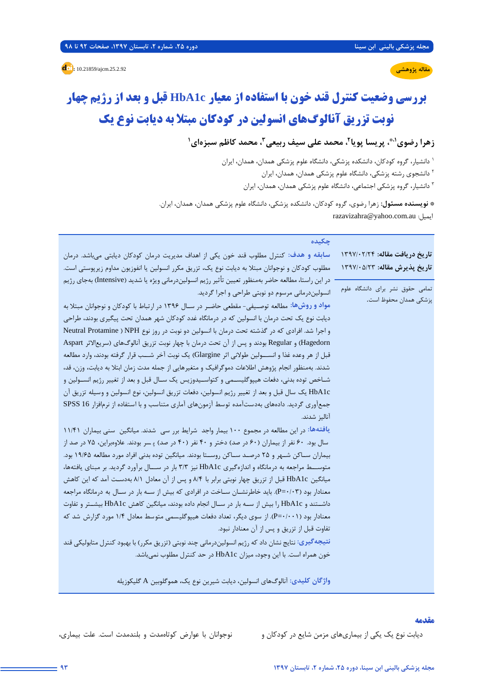**مقاله پژوهشی**

**d**: 10.21859/ajcm.25.2.92

# **بررسی وضعیت کنترل قند خون با استفاده از معیار c1HbA قبل و بعد از رژیم چهار**

# **نوبت تزریق آنالوگهاي انسولین در کودکان مبتلا به دیابت نوع یک**

**1 ، محمد کاظم سبزهاي ،2 محمد علی سیف ربیعی3 ، پریسا پویا ،1\* زهرا رضوي**

دانشیار، گروه کودکان، دانشکده پزشکی، دانشگاه علوم پزشکی همدان، همدان، ایران <sup>1</sup>

<sup>۲</sup> دانشجوی رشته پزشکی، دانشگاه علوم پزشکی همدان، ممدان، ایران

دانشیار، گروه پزشکی اجتماعی، دانشگاه علوم پزشکی همدان، همدان، ایران <sup>3</sup>

**\* نویسنده مسئول:** زهرا رضوي، گروه کودکان، دانشکده پزشکی، دانشگاه علوم پزشکی همدان، همدان، ایران. [razavizahra@yahoo.com.au](mailto:razavizahra@yahoo.com.au) :ایمیل

| چکیده                                                                                                        |                                  |
|--------------------------------------------------------------------------------------------------------------|----------------------------------|
| سابقه و هدف: کنترل مطلوب قند خون یکی از اهداف مدیریت درمان کودکان دیابتی میباشد. درمان                       | تاريخ دريافت مقاله: ١٣٩٧/٠٢/٢    |
| مطلوب کودکان و نوجوانان مبتلا به دیابت نوع یک، تزریق مکرر انسولین یا انفوزیون مداوم زیرپوستی است.            | تاريخ پذيرش مقاله: ١٣٩٧/٠۵/٢٣    |
| در این راستا، مطالعه حاضر بهمنظور تعیین تأثیر رژیم انسولیندرمانی ویژه یا شدید (Intensive) بهجای رژیم         |                                  |
| انسولیندرمانی مرسوم دو نوبتی طراحی و اجرا گردید.                                                             | تمامی حقوق نشر برای دانشگاه علوم |
| مواد و روشها: مطالعه توصـیفی- مقطعی حاضـر در ســال ۱۳۹۶ در ارتباط با کودکان و نوجوانان مبتلا به              | پزشکی همدان محفوظ است.           |
| دیابت نوع یک تحت درمان با انسولین که در درمانگاه غدد کودکان شهر همدان تحت پیگیری بودند، طراحی                |                                  |
| و اجرا شد. افرادی که در گذشته تحت درمان با انسولین دو نوبت در روز نوع NPH ( Neutral Protamine                |                                  |
| Hagedorn) و Regular بودند و پس از آن تحت درمان با چهار نوبت تزریق آنالوگهای (سریع لاثر Aspart                |                                  |
| قبل از هر وعده غذا و انســــولين طولاني اثر Glargine) يک نوبت آخر شــــب قرار گرفته بودند، وارد مطالعه       |                                  |
| شدند. بهمنظور انجام پژوهش اطلاعات دموگرافیک و متغیرهایی از جمله مدت زمان ابتلا به دیابت، وزن، قد،            |                                  |
| شــاخص توده بدنی، دفعات هیپوگلیســمی و کتواســیدوزیس یک ســال قبل و بعد از تغییر رژیم انســولین و            |                                  |
| HbA1c یک سال قبل و بعد از تغییر رژیم انسولین، دفعات تزریق انسولین، نوع انسولین و وسیله تزریق آن              |                                  |
| جمعآوری گردید. دادههای بهدستآمده توسط آزمونهای آماری متناسب و با استفاده از نرمافزار SPSS 16                 |                                  |
| آنالىز شدند.                                                                                                 |                                  |
| یافتهها: در این مطالعه در مجموع ۱۰۰ بیمار واجد شرایط برر سی شدند. میانگین سنی بیماران ۱۱/۴۱                  |                                  |
| سال بود. ۶۰ نفر از بیماران (۶۰ در صد) دختر و ۴۰ نفر (۴۰ در صد) پسر بودند. علاوهبراین، ۷۵ در صد از            |                                  |
| بیماران ســاکن شــهر و ۲۵ درصــد ســاکن روســتا بودند. میانگین توده بدنی افراد مورد مطالعه ۱۹/۶۵ بود.        |                                  |
| متوســـط مراجعه به درمانگاه و اندازهگیری HbA1c نیز ۳/۳ بار در ســـال برآورد گردید. بر مبنای یافتهها،         |                                  |
| میانگین HbA1c قبل از تزریق چهار نوبتی برابر با ۸/۴ و پس از آن معادل ۸/۱ بهدست آمد که این کاهش                |                                  |
| معنادار بود (P=۰/۰۳). باید خاطرنشــان ســاخت در افرادی که بیش از ســه بار در ســال به درمانگاه مراجعه        |                                  |
| داشــتند و HbA1c را بیش از ســه بار در ســال انجام داده بودند، میانگین کاهش HbA1c بیشــتر و تفاوت            |                                  |
| معنادار بود (P=۰/۰۰۱). از سوی دیگر، تعداد دفعات هیپوگلیسمی متوسط معادل ۱/۴ مورد گزارش شد که                  |                                  |
| تفاوت قبل از تزريق و پس از آن معنادار نبود.                                                                  |                                  |
| نتیجه <i>گ</i> یری: نتایج نشان داد که رژیم انسولیندرمانی چند نوبتی (تزریق مکرر) با بهبود کنترل متابولیکی قند |                                  |
| خون همراه است. با این وجود، میزان HbA1c در حد کنترل مطلوب نمیباشد.                                           |                                  |
| واژگان کلیدی: آنالوگهای انسولین، دیابت شیرین نوع یک، هموگلوبین A گلیکوزیله                                   |                                  |

#### **مقدمه**

دیابت نوع یک یکی از بیماريهاي مزمن شایع در کودکان و نوجوانان با عوارض کوتاهمدت و بلندمدت است. علت بیماري،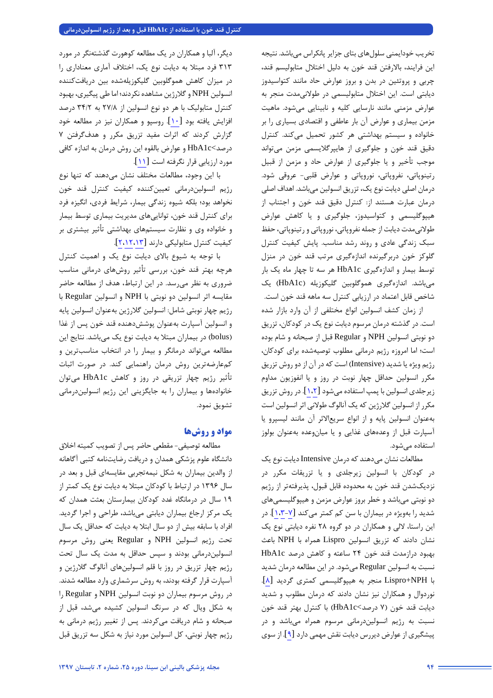تخریب خودایمنی سلولهاي بتاي جزایر پانکراس میباشد. نتیجه این فرایند، بالارفتن قند خون به دلیل اختلال متابولیسم قند، چربی و پروتئین در بدن و بروز عوارض حاد مانند کتواسیدوز دیابتی است. این اختلال متابولیسمی در طولانیمدت منجر به عوارض مزمنی مانند نارسایی کلیه و نابینایی میشود. ماهیت مزمن بیماري و عوارض آن بار عاطفی و اقتصادي بسیاري را بر خانواده و سیستم بهداشتی هر کشور تحمیل میکند. کنترل دقیق قند خون و جلوگیري از هایپرگلایسمی مزمن میتواند موجب تأخیر و یا جلوگیري از عوارض حاد و مزمن از قبیل رتینوپاتی، نفروپاتی، نوروپاتی و عوارض قلبی- عروقی شود. درمان اصلی دیابت نوع یک، تزریق انسولین میباشد. اهداف اصلی درمان عبارت هستند از: کنترل دقیق قند خون و اجتناب از هیپوگلیسمی و کتواسیدوز، جلوگیري و یا کاهش عوارض طولانیمدت دیابت از جمله نفروپاتی، نوروپاتی و رتینوپاتی، حفظ سبک زندگی عادي و روند رشد مناسب. پایش کیفیت کنترل گلوکز خون دربرگیرنده اندازهگیري مرتب قند خون در منزل توسط بیمار و اندازهگیري c1HbA هر سه تا چهار ماه یک بار میباشد. اندازهگیري هموگلوبین گلیکوزیله (c1HbA (یک شاخص قابل اعتماد در ارزیابی کنترل سه ماهه قند خون است.

از زمان کشف انسولین انواع مختلفی از آن وارد بازار شده است. در گذشته درمان مرسوم دیابت نوع یک در کودکان، تزریق دو نوبتی انسولین NPH و Regular قبل از صبحانه و شام بوده است؛ اما امروزه رژیم درمانی مطلوب توصیهشده براي کودکان، رژیم ویژه یا شدید (Intensive (است که در آن از دو روش تزریق مکرر انسولین حداقل چهار نوبت در روز و یا انفوزیون مداوم زیرجلدي انسولین با پمپ استفاده میشو[د](#page-5-0) [[1،](#page-5-1)[2](#page-5-0)]. در روش تزریق مکرر از انسولین گلارژین که یک آنالوگ طولانی اثر انسولین است بهعنوان انسولین پایه و از انواع سریعالاثر آن مانند لیسپرو یا آسپارت قبل از وعدههاي غذایی و یا میانوعده بهعنوان بولوز استفاده میشود.

مطالعات نشان میدهند که درمان Intensiveدیابت نوع یک در کودکان با انسولین زیرجلدي و یا تزریقات مکرر در نزدیکشدن قند خون به محدوده قابل قبول، پذیرفتهتر از رژیم دو نوبتی میباشد و خطر بروز عوارض مزمن و هیپوگلیسمیهاي شدید را بهویژه در بیماران با سن کم کمتر می کند [\[](#page-6-0)۷-۱،۳]. در این راستا، لالی و همکاران در دو گروه 28 نفره دیابتی نوع یک نشان دادند که تزریق انسولین Lispro همراه با NPH باعث بهبود درازمدت قند خون 24 ساعته و کاهش درصد c1HbA نسبت به انسولین Regular میشود. در این مطالعه درمان شدید با NPH+Lispro منجر به هیپوگلیسمی کمتري گردید [\[](#page-6-2)[8](#page-6-2)]. نوردوال و همکاران نیز نشان دادند که درمان مطلوب و شدید دیابت قند خون (7 درصد>c1HbA (با کنترل بهتر قند خون نسبت به رژیم انسولیندرمانی مرسوم همراه میباشد و در پیشگیري از عوارض دیررس دیابت نقش مهمی دار[د](#page-6-3) [[9](#page-6-3)]. از سوي

دیگر، آلبا و همکاران در یک مطالعه کوهورت گذشتهنگر در مورد 313 فرد مبتلا به دیابت نوع یک، اختلاف آماري معناداري را در میزان کاهش هموگلوبین گلیکوزیلهشده بین دریافتکننده انسولین NPH وگلارژین مشاهده نکردند؛ اما طی پیگیري، بهبود کنترل متابولیک با هر دو نوع انسولین از 27/8 به 34/2 درصد افزایش یافته بود [\[](#page-6-4)[10](#page-6-4)]. روسپو و همکاران نیز در مطالعه خود گزارش کردند که اثرات مفید تزریق مکرر و هدفگرفتن 7 درصد>c1HbA و عوارض بالقوه این روش درمان به اندازه کافی مورد ارزیابی قرار نگرفته است[[11](#page-6-5)].

با این وجود، مطالعات مختلف نشان میدهند که تنها نوع رژیم انسولیندرمانی تعیینکننده کیفیت کنترل قند خون نخواهد بود؛ بلکه شیوه زندگی بیمار، شرایط فردي، انگیزه فرد براي کنترل قند خون، تواناییهاي مدیریت بیماري توسط بیمار و خانواده وي و نظارت سیستمهاي بهداشتی تأثیر بیشتري بر کیفیت کنترل متابولیکی دارند [[2](#page-5-0)[،12،](#page-6-6)13].

با توجه به شیوع بالاي دیابت نوع یک و اهمیت کنترل هرچه بهتر قند خون، بررسی تأثیر روشهاي درمانی مناسب ضروري به نظر میرسد. در این ارتباط، هدف از مطالعه حاضر مقایسه اثر انسولین دو نوبتی با NPH و انسولین Regular با رژیم چهار نوبتی شامل: انسولین گلارژین بهعنوان انسولین پایه و انسولین آسپارت بهعنوان پوششدهنده قند خون پس از غذا (bolus (در بیماران مبتلا به دیابت نوع یک میباشد. نتایج این مطالعه میتواند درمانگر و بیمار را در انتخاب مناسبترین و کمعارضهترین روش درمان راهنمایی کند. در صورت اثبات تأثیر رژیم چهار تزریقی در روز و کاهش c1HbA میتوان خانوادهها و بیماران را به جایگزینی این رژیم انسولیندرمانی تشویق نمود.

# **مواد و روشها**

مطالعه توصیفی- مقطعی حاضر پس از تصویب کمیته اخلاق دانشگاه علوم پزشکی همدان و دریافت رضایتنامه کتبی آگاهانه از والدین بیماران به شکل نیمهتجربی مقایسهاي قبل و بعد در سال 1396 در ارتباط با کودکان مبتلا به دیابت نوع یک کمتر از 19 سال در درمانگاه غدد کودکان بیمارستان بعثت همدان که یک مرکز ارجاع بیماران دیابتی میباشد، طراحی و اجرا گردید. افراد با سابقه بیش از دو سال ابتلا به دیابت که حداقل یک سال تحت رژیم انسولین NPH و Regular یعنی روش مرسوم انسولیندرمانی بودند و سپس حداقل به مدت یک سال تحت رژیم چهار تزریق در روز با قلم انسولینهاي آنالوگ گلارژین و آسپارت قرار گرفته بودند، به روش سرشماري وارد مطالعه شدند. در روش مرسوم بیماران دو نوبت انسولین NPH و Regular را به شکل ویال که در سرنگ انسولین کشیده میشد، قبل از صبحانه و شام دریافت میکردند. پس از تغییر رژیم درمانی به رژیم چهار نوبتی، کل انسولین مورد نیاز به شکل سه تزریق قبل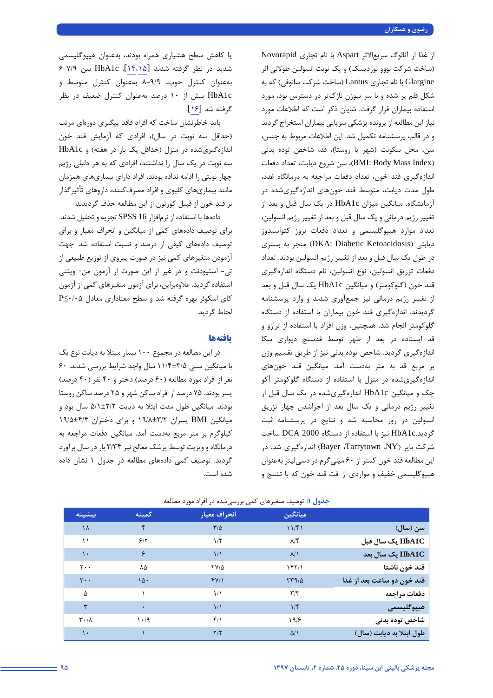از غذا از آنالوگ سریعالاثر Aspart با نام تجاري Novorapid (ساخت شرکت نووو نوردیسک) و یک نوبت انسولین طولانی اثر Glargine با نام تجاري Lantus) ساخت شرکت سانوفی) که به شکل قلم پر شده و با سر سوزن نازكتر در دسترس بود، مورد استفاده بیماران قرار گرفت. شایان ذکر است که اطلاعات مورد نیاز این مطالعه از پرونده پزشکی سرپایی بیماران استخراج گردید و در قالب پرسشنامه تکمیل شد. این اطلاعات مربوط به جنس، سن، محل سکونت (شهر یا روستا)، قد، شاخص توده بدنی (Index Mass Body :BMI(، سن شروع دیابت، تعداد دفعات اندازهگیري قند خون، تعداد دفعات مراجعه به درمانگاه غدد، طول مدت دیابت، متوسط قند خونهاي اندازهگیريشده در آزمایشگاه، میانگین میزان c1HbA در یک سال قبل و بعد از تغییر رژیم درمانی و یک سال قبل و بعد از تغییر رژیم انسولین، تعداد موارد هیپوگلیسمی و تعداد دفعات بروز کتواسیدوز دیابتی (Ketoacidosis Diabetic :DKA (منجر به بستري در طول یک سال قبل و بعد از تغییر رژیم انسولین بودند. تعداد دفعات تزریق انسولین، نوع انسولین، نام دستگاه اندازهگیري قند خون (گلوکومتر) و میانگین c1HbA یک سال قبل و بعد از تغییر رژیم درمانی نیز جمعآوري شدند و وارد پرسشنامه گردیدند. اندازهگیري قند خون بیماران با استفاده از دستگاه گلوکومتر انجام شد. همچنین، وزن افراد با استفاده از ترازو و قد ایستاده در بعد از ظهر توسط قدسنج دیواري سکا اندازهگیري گردید. شاخص توده بدنی نیز از طریق تقسیم وزن بر مربع قد به متر بهدست آمد. میانگین قند خونهاي اندازهگیريشده در منزل با استفاده از دستگاه گلوکومتر آکو چک و میانگین c1HbA اندازهگیريشده در یک سال قبل از تغییر رژیم درمانی و یک سال بعد از اجراشدن چهار تزریق انسولین در روز محاسبه شد و نتایج در پرسشنامه ثبت گردید.c1HbA نیز با استفاده از دستگاه 2000 DCA ساخت شرکت بایر (NY، Tarrytown، Bayer (اندازهگیري شد. در این مطالعه قند خون کمتر از 60 میلیگرم در دسیلیتر بهعنوان هیپوگلیسمی خفیف و مواردي از افت قند خون که با تشنج و

یا کاهش سطح هشیاري همراه بودند، بهعنوان هیپوگلیسمی شدید در نظر گرفته شدند[[14،](#page-5-1)[15](#page-6-7)]. c1HbA بین 6-7/9 بهعنوان کنترل خوب، 8-9/9 بهعنوان کنترل متوسط و c1HbA بیش از 10 درصد بهعنوان کنترل ضعیف در نظر گرفته شد[[16](#page-6-8)].

باید خاطرنشان ساخت که افراد فاقد پیگیري دورهاي مرتب (حداقل سه نوبت در سال)، افرادي که آزمایش قند خون اندازهگیریشده در منزل (حداقل یک بار در هفته) و HbA1c سه نوبت در یک سال را نداشتند، افرادي که به هر دلیلی رژیم چهار نوبتی را ادامه نداده بودند، افراد داراي بیماريهاي همزمان مانند بیماريهاي کلیوي و افراد مصرفکننده داروهاي تأثیرگذار بر قند خون از قبیل کورتون از این مطالعه حذف گردیدند.

دادهها با استفاده از نرمافزار 16 SPSS تجزیه و تحلیل شدند. براي توصیف دادههاي کمی از میانگین و انحراف معیار و براي توصیف دادههاي کیفی از درصد و نسبت استفاده شد. جهت آزمودن متغیرهاي کمی نیز در صورت پیروي از توزیع طبیعی از تی- استیودنت و در غیر از این صورت از آزمون من- ویتنی استفاده گردید. علاوهبراین، براي آزمون متغیرهاي کمی از آزمون کاي اسکوئر بهره گرفته شد و سطح معناداري معادل 0/05≥P لحاظ گردید.

### **یافتهها**

در این مطالعه در مجموع 100 بیمار مبتلا به دیابت نوع یک با میانگین سنی 11/4±3/5 سال واجد شرایط بررسی شدند. 60 نفر از افراد مورد مطالعه (60 درصد) دختر و 40 نفر (40 درصد) پسر بودند. 75 درصد از افراد ساکن شهر و 25 درصد ساکن روستا بودند. میانگین طول مدت ابتلا به دیابت 5/1±2/2 سال بود و میانگین BMI پسران 19/8±3/2 و براي دختران 19/5±4/4 کیلوگرم بر متر مربع بهدست آمد. میانگین دفعات مراجعه به درمانگاه و ویزیت توسط پزشک معالج نیز 3/34 بار در سال برآورد گردید. توصیف کمی دادههاي مطالعه در جدول 1 نشان داده شده است.

|                            | ميانگين                 | انحراف معيار    | كمينه | بيشينه                        |
|----------------------------|-------------------------|-----------------|-------|-------------------------------|
| سن (سال)                   | 11/f1                   | $\frac{1}{2}$   | ۴     | ۱۸                            |
| HbA1C یک سال قبل           | $\lambda$ /۴            | 1/5             | 5/5   | ۱۱                            |
| HbA1C یک سال بعد           | $\lambda/\lambda$       | $\frac{1}{2}$   | ۶     | ١.                            |
| قند خون ناشتا              | 157/1                   | $\frac{1}{2}$   | ٨۵    | $\mathsf{r}\cdot\mathsf{.}$   |
| قند خون دو ساعت بعد از غذا | 579/2                   | fY/1            | 10.   | $\mathbf{r}$ .                |
| دفعات مراجعه               | $\mathbf{r}/\mathbf{r}$ | $\frac{1}{2}$   |       | Δ                             |
| هيپوگليسمى                 | 1/f                     | $\frac{1}{2}$   | ٠     | ٣                             |
| شاخص توده بدنى             | 19/5                    | $f/\lambda$     | 1.4   | $\mathbf{r} \cdot \mathbf{r}$ |
| طول ابتلا به ديابت (سال)   | $\Delta/\Lambda$        | $\frac{1}{\pi}$ |       | ۱۰                            |

**جدول :1** توصیف متغیرهاي کمی بررسیشده در افراد مورد مطالعه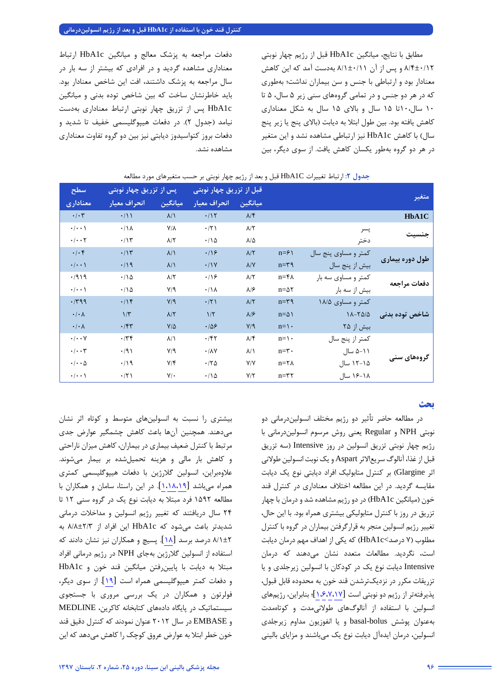مطابق با نتایج، میانگین c1HbA قبل از رژیم چهار نوبتی 8/4±0/12 و پس از آن 8/1±0/11 بهدست آمد که این کاهش معنادار بود و ارتباطی با جنس و سن بیماران نداشت؛ بهطوري که در هر دو جنس و در تمامی گروههاي سنی زیر 5 سال، 5 تا 10 سال10،تا 15 سال و بالاي 15 سال به شکل معناداري کاهش یافته بود. بین طول ابتلا به دیابت (بالاي پنج یا زیر پنج سال) با کاهش c1HbA نیز ارتباطی مشاهده نشد و این متغیر در هر دو گروه بهطور یکسان کاهش یافت. از سوي دیگر، بین

دفعات مراجعه به پزشک معالج و میانگین c1HbA ارتباط معناداري مشاهده گردید و در افرادي که بیشتر از سه بار در سال مراجعه به پزشک داشتند، افت این شاخص معنادار بود. باید خاطرنشان ساخت که بین شاخص توده بدنی و میانگین c1HbA پس از تزریق چهار نوبتی ارتباط معناداري بهدست نیامد (جدول 2). در دفعات هیپوگلیسمی خفیف تا شدید و دفعات بروز کتواسیدوز دیابتی نیز بین دو گروه تفاوت معناداري مشاهده نشد.

| سطح                      | پس از تزریق چهار نوبتی |                   | قبل از تزریق چهار نوبتی   |                        |                   |                      |                 |
|--------------------------|------------------------|-------------------|---------------------------|------------------------|-------------------|----------------------|-----------------|
| معناداري                 | انحراف معيار           | ميانگين           | انحراف معيار              | <mark>َ میانگین</mark> |                   |                      | متغير           |
| $\cdot/\cdot$ ۳          | $\cdot/11$             | $\lambda/\lambda$ | .117                      | $\lambda/\mathfrak{F}$ |                   |                      | HbA1C           |
| $\cdot/\cdot\cdot$       | $\cdot/\Lambda$        | $Y/\lambda$       | $\cdot$ /٢١               | $\lambda/\Upsilon$     |                   | پسر                  | حنسىت           |
| $\cdot/\cdot\cdot$ ٢     | $\cdot/\gamma$         | $\lambda/\tau$    | .70                       | $\lambda/\Delta$       |                   | دختر                 |                 |
| $\cdot/\cdot$ ۴          | .115                   | $\lambda/\lambda$ | .19                       | $\lambda/\Upsilon$     | $n = \xi$         | کمتر و مساوی پنج سال |                 |
| $\cdot/\cdot\cdot$       | .419                   | $\lambda/\lambda$ | .11V                      | $\lambda/Y$            | $n = r \eta$      | بیش از پنج سال       | طول دوره بیماری |
| .7919                    | $\cdot/\Delta$         | $\lambda/\tau$    | .19                       | $\lambda/\Upsilon$     | $n = f \wedge$    | کمتر و مساوی سه بار  | دفعات مراجعه    |
| $\cdot/\cdot\cdot$       | $\cdot/\Delta$         | $V/\mathcal{A}$   | $\cdot/\lambda$           | $\lambda$ /۶           | $n = \Delta Y$    | بیش از سه بار        |                 |
| .799                     | .19                    | Y/9               | .771                      | $\lambda/\Upsilon$     | $n = r \eta$      | کمتر و مساوی ۱۸/۵    |                 |
| $\cdot/\cdot \wedge$     | $1/\tau$               | $\lambda/\zeta$   | 1/5                       | $\lambda$ / $\epsilon$ | $n = \Delta$      | $11-70/0$            | شاخص توده بدنی  |
| $\cdot/\cdot \wedge$     | $\cdot$ /۴۳            | $V/\Delta$        | .109                      | V/9                    | $n = \mathcal{N}$ | بیش از ۲۵            |                 |
| $\cdot/\cdot\cdot$ Y     | .77                    | $\lambda/\lambda$ | $\cdot$ /۴۲               | $\lambda/\mathfrak{F}$ | $n = \mathcal{N}$ | كمتر از پنج سال      |                 |
| $\cdot/\cdot\cdot\tau$   | $\cdot$ /9)            | $V/\mathcal{A}$   | $\cdot/\lambda\mathrm{V}$ | $\lambda/\lambda$      | $n = r \cdot$     | ۵-۱۱ سال             |                 |
| $\cdot/\cdot\cdot\Delta$ | $\cdot/\lambda$        | $Y/\mathfrak{F}$  | .70                       | Y/Y                    | $n = \tau \wedge$ | ۱۵–۱۲ سال            | گروههای سنی     |
| $\cdot/\cdot\cdot$       | $\cdot$ /٢١            | $V/\cdot$         | $\cdot/\Delta$            | Y/Y                    | $n = r \tau$      | ۱۶-۱۶ سال            |                 |

#### **جدول :2** ارتباط تغییرات C1HbA قبل و بعد از رژیم چهار نوبتی بر حسب متغیرهاي مورد مطالعه

# **بحث**

در مطالعه حاضر تأثیر دو رژیم مختلف انسولیندرمانی دو نوبتی NPH و Regular یعنی روش مرسوم انسولیندرمانی با رژیم چهار نوبتی تزریق انسولین در روز Intensive) سه تزریق قبل از غذا، آنالوگ سریعالاثر Aspart و یک نوبت انسولین طولانی اثر Glargine (بر کنترل متابولیک افراد دیابتی نوع یک دیابت مقایسه گردید. در این مطالعه اختلاف معناداري در کنترل قند خون (میانگین c1HbA (در دو رژیم مشاهده شد و درمان با چهار تزریق در روز با کنترل متابولیکی بیشتري همراه بود. با این حال، تغییر رژیم انسولین منجر به قرارگرفتن بیماران در گروه با کنترل مطلوب (7 درصد>c1HbA (که یکی از اهداف مهم درمان دیابت است، نگردید. مطالعات متعدد نشان میدهند که درمان Intensive دیابت نوع یک در کودکان با انسولین زیرجلدي و یا تزریقات مکرر در نزدیکترشدن قند خون به محدوده قابل قبول، پذیرفتهتر از رژیم دو نوبتی اس[ت](#page-6-9) [[1،](#page-5-1)[6،](#page-6-10)[7](#page-6-0)[،17](#page-6-9)]؛ بنابراین، رژیمهاي انسولین با استفاده از آنالوگهاي طولانیمدت و کوتاهمدت بهعنوان پوشش bolus-basal و یا انفوزیون مداوم زیرجلدي انسولین، درمان ایدهآل دیابت نوع یک میباشند و مزایاي بالینی

بیشتري را نسبت به انسولینهاي متوسط و کوتاه اثر نشان میدهند. همچنین آنها باعث کاهش چشمگیر عوارض جدي مرتبط با کنترل ضعیف بیماري در بیماران، کاهش میزان ناراحتی و کاهش بار مالی و هزینه تحمیلشده بر بیمار میشوند. علاوهبراین، انسولین گلارژین با دفعات هیپوگلیسمی کمتري همراه میباشد [\[](#page-6-11)[1](#page-5-1)[،18،](#page-6-12)[19](#page-6-11)]. در این راستا، سامان و همکاران با مطالعه 1592 فرد مبتلا به دیابت نوع یک در گروه سنی 12 تا 24 سال دریافتند که تغییر رژیم انسولین و مداخلات درمانی شدیدتر باعث میشود که c1HbA این افراد از 8/8±2/3 به 8/1±2 درصد برسد [\[](#page-6-12)[18](#page-6-12)]. پسیچ و همکاران نیز نشان دادند که استفاده از انسولین گلارژین بهجاي NPH در رژیم درمانی افراد مبتلا به دیابت با پایینرفتن میانگین قند خون و c1HbA و دفعات کمتر هیپوگلیسمی همراه است [[19](#page-6-11)]. از سوي دیگر، فولرتون و همکاران در یک بررسی مروري با جستجوي سیستماتیک در پایگاه دادههاي کتابخانه کاکرین، MEDLINE و EMBASE در سال 2012 عنوان نمودند که کنترل دقیق قند خون خطر ابتلا به عوارض عروق کوچک را کاهش میدهد که این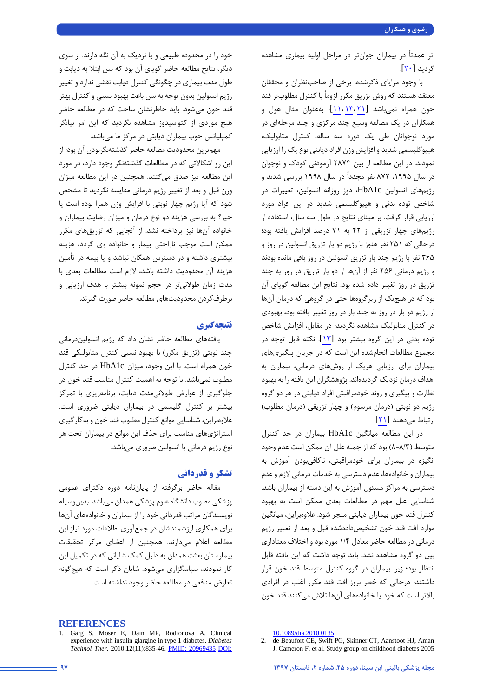اثر عمدتاً در بیماران جوانتر در مراحل اولیه بیماري مشاهده گردید [\[](#page-6-13)[20](#page-6-13)].

با وجود مزایاي ذکرشده، برخی از صاحبنظران و محققان معتقد هستند که روش تزریق مکرر لزوماً با کنترل مطلوبتر قند خون همراه نمیباشد [\[](#page-6-14)[21](#page-6-14) 13، [11،](#page-6-5)]؛ بهعنوان مثال هول و همکاران در یک مطالعه وسیع چند مرکزي و چند مرحلهاي در مورد نوجوانان طی یک دوره سه ساله، کنترل متابولیک، هیپوگلیسمی شدید و افزایش وزن افراد دیابتی نوع یک را ارزیابی نمودند. در این مطالعه از بین 2873 آزمودنی کودك و نوجوان در سال ،1995 872 نفر مجدداً در سال 1998 بررسی شدند و رژیمهاي انسولین c1HbA، دوز روزانه انسولین، تغییرات در شاخص توده بدنی و هیپوگلیسمی شدید در این افراد مورد ارزیابی قرار گرفت. بر مبناي نتایج در طول سه سال، استفاده از رژیمهاي چهار تزریقی از 42 به 71 درصد افزایش یافته بود؛ درحالی که 251 نفر هنوز با رژیم دو بار تزریق انسولین در روز و 365 نفر با رژیم چند بار تزریق انسولین در روز باقی مانده بودند و رژیم درمانی 256 نفر از آنها از دو بار تزریق در روز به چند تزریق در روز تغییر داده شده بود. نتایج این مطالعه گویاي آن بود که در هیچیک از زیرگروهها حتی در گروهی که درمان آنها از رژیم دو بار در روز به چند بار در روز تغییر یافته بود، بهبودي در کنترل متابولیک مشاهده نگردید؛ در مقابل، افزایش شاخص توده بدنی در این گروه بیشتر بود [13]. نکته قابل توجه در مجموع مطالعات انجامشده این است که در جریان پیگیريهاي بیماران براي ارزیابی هریک از روشهاي درمانی، بیماران به اهداف درمان نزدیک گردیدهاند. پژوهشگران این یافته را به بهبود نظارت و پیگیري و روند خودمراقبتی افراد دیابتی در هر دو گروه رژیم دو نوبتی (درمان مرسوم) و چهار تزریقی (درمان مطلوب) ارتباط میدهند [\[](#page-6-14)[21](#page-6-14)].

در این مطالعه میانگین c1HbA بیماران در حد کنترل متوسط (8-8/3) بود که از جمله علل آن ممکن است عدم وجود انگیزه در بیماران براي خودمراقبتی، ناکافیبودن آموزش به بیماران و خانوادهها، عدم دسترسی به خدمات درمانی لازم و عدم دسترسی به مراکز مسئول آموزش به این دسته از بیماران باشد. شناسایی علل مهم در مطالعات بعدي ممکن است به بهبود کنترل قند خون بیماران دیابتی منجر شود. علاوهبراین، میانگین موارد افت قند خون تشخیصدادهشده قبل و بعد از تغییر رژیم درمانی در مطالعه حاضر معادل 1/4 مورد بود و اختلاف معناداري بین دو گروه مشاهده نشد. باید توجه داشت که این یافته قابل انتظار بود؛ زیرا بیماران در گروه کنترل متوسط قند خون قرار داشتند؛ درحالی که خطر بروز افت قند مکرر اغلب در افرادي بالاتر است که خود یا خانوادههاي آنها تلاش میکنند قند خون

خود را در محدوده طبیعی و یا نزدیک به آن نگه دارند. از سوي دیگر، نتایج مطالعه حاضر گویاي آن بود که سن ابتلا به دیابت و طول مدت بیماري در چگونگی کنترل دیابت نقشی ندارد و تغییر رژیم انسولین بدون توجه به سن باعث بهبود نسبی و کنترل بهتر قند خون میشود. باید خاطرنشان ساخت که در مطالعه حاضر هیچ موردي از کتواسیدوز مشاهده نگردید که این امر بیانگر کمپلیانس خوب بیماران دیابتی در مرکز ما میباشد.

مهمترین محدودیت مطالعه حاضر گذشتهنگربودن آن بود؛ از این رو اشکالاتی که در مطالعات گذشتهنگر وجود دارد، در مورد این مطالعه نیز صدق میکنند. همچنین در این مطالعه میزان وزن قبل و بعد از تغییر رژیم درمانی مقایسه نگردید تا مشخص شود که آیا رژیم چهار نوبتی با افزایش وزن همرا بوده است یا خیر؟ به بررسی هزینه دو نوع درمان و میزان رضایت بیماران و خانواده آنها نیز پرداخته نشد. از آنجایی که تزریقهاي مکرر ممکن است موجب ناراحتی بیمار و خانواده وي گردد، هزینه بیشتري داشته و در دسترس همگان نباشد و یا بیمه در تأمین هزینه آن محدودیت داشته باشد، لازم است مطالعات بعدي با مدت زمان طولانیتر در حجم نمونه بیشتر با هدف ارزیابی و برطرفکردن محدودیتهاي مطالعه حاضر صورت گیرند.

# **نتیجهگیري**

یافتههاي مطالعه حاضر نشان داد که رژیم انسولیندرمانی چند نوبتی (تزریق مکرر) با بهبود نسبی کنترل متابولیکی قند خون همراه است. با این وجود، میزان c1HbA در حد کنترل مطلوب نمیباشد. با توجه به اهمیت کنترل مناسب قند خون در جلوگیري از عوارض طولانیمدت دیابت، برنامهریزي با تمرکز بیشتر بر کنترل گلیسمی در بیماران دیابتی ضروري است. علاوهبراین، شناسایی موانع کنترل مطلوب قند خون و بهکارگیري استراتژيهاي مناسب براي حذف این موانع در بیماران تحت هر نوع رژیم درمانی با انسولین ضروري میباشد.

# **تشکر و قدردانی**

مقاله حاضر برگرفته از پایاننامه دوره دکتراي عمومی پزشکی مصوب دانشگاه علوم پزشکی همدان میباشد. بدینوسیله نویسندگان مراتب قدردانی خود را از بیماران و خانوادههاي آنها براي همکاري ارزشمندشان در جمعآوري اطلاعات مورد نیاز این مطالعه اعلام میدارند. همچنین از اعضاي مرکز تحقیقات بیمارستان بعثت همدان به دلیل کمک شایانی که در تکمیل این کار نمودند، سپاسگزاري میشود. شایان ذکر است که هیچگونه تعارض منافعی در مطالعه حاضر وجود نداشته است.

#### **REFERENCES**

<span id="page-5-1"></span><sup>1.</sup> Garg S, Moser E, Dain MP, Rodionova A. Clinical experience with insulin glargine in type 1 diabetes. *Diabetes Technol Ther*. 2010;**12**(11):835-46. [PMID: 20969435](https://www.ncbi.nlm.nih.gov/pubmed/20969435) [DOI:](https://doi.org/10.1089/dia.2010.0135) 

[<sup>10.1089/</sup>dia.2010.0135](https://doi.org/10.1089/dia.2010.0135)

<span id="page-5-0"></span><sup>2.</sup> de Beaufort CE, Swift PG, Skinner CT, Aanstoot HJ, Aman J, Cameron F, et al. Study group on childhood diabetes 2005